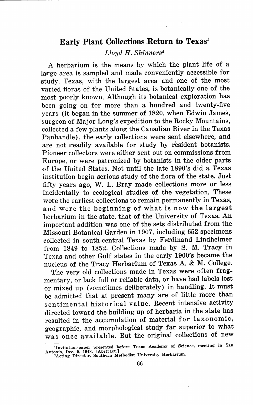## **Early Plant Collections Return to Texas<sup>1</sup>**

## *Lloyd H. Shinners* <sup>2</sup>

A herbarium is the means by which the plant life of a large area is sampled and made conveniently accessible for study. Texas, with the largest area and one of the most varied floras of the United States, is botanically one of the most poorly known. Although its botanical exploration has been going on for more than a hundred and twenty-five years (it began in the summer of 1820, when Edwin James, surgeon of Major Long's expedition to the Rocky Mountains, collected a few plants along the Canadian River in the Texas Panhandle), the early collections were sent elsewhere, and are not readily available for study by resident botanists. Pioneer collectors were either sent out on commissions from Europe, or were patronized by botanists in the older parts of the United States. Not until the late 1890's did a Texas institution begin serious study of the flora of the state. Just fifty years ago, W. L. Bray made collections more or less incidentally to ecological studies of the vegetation. These were the earliest collections to remain permanently in Texas, and were the beginning of what is now the largest herbarium in the state, that of the University of Texas. An important addition was one of the sets distributed from the Missouri Botanical Garden in 1907, including 652 specimens collected in south-central Texas by Ferdinand Lindheimer from 1849 to 1852. Collections made by S. M. Tracy in Texas and other Gulf states in the early 1900's became the nucleus of the Tracy Herbarium of Texas A. & M. College.

The very old collections made in Texas were often fragmentary, or lack full or reliable data, or have had labels lost or mixed up (sometimes deliberately) in handling. It must be admitted that at present many are of little more than sentimental historical value. Recent intensive activity directed toward the building up of herbaria in the state has resulted in the accumulation of material for taxonomic, geographic, and morphological study far superior to what was once available. But the original collections of new

 $1$ Invitation-paper presented before Texas Academy of Science, meeting in San Antonio, Dec. 9, 1948. [Abstract.]<br><sup>2</sup>Acting Director, Southern Methodist University Herbariun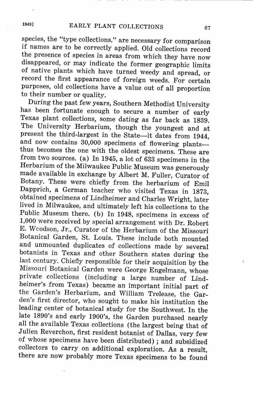species, the "type collections," are necessary for comparison if names are to be correctly applied. Old collections record the presence of species in areas from which they have now disappeared, or may indicate the former geographic limits of native plants which have turned weedy and spread, or record the first appearance of foreign weeds. For certain purposes, old collections have a value out of all proportion to their number or quality.

During the past few years, Southern Methodist University has been fortunate enough to secure a number of early Texas plant collections, some dating as far back as 1839. The University Herbarium, though the youngest and at present the third-largest in the State-it dates from 1944. and now contains 30,000 specimens of flowering plantsthus becomes the one with the oldest specimens. These are from two sources. (a) In 1945, a lot of 633 specimens in the Herbarium of the Milwaukee Public Museum was generously made available in exchange by Albert M. Fuller, Curator of Botany. These were chiefly from the herbarium of Emil Dapprich, a German teacher who visited Texas in 1873, obtained specimens of Lindheimer and Charles Wright, later lived in Milwaukee, and ultimately left his collections to the Public Museum there. (b) In 1948, specimens in excess of 1,000 were received by special arrangement with Dr. Robert E. Wcodson, Jr., Curator of the Herbarium of the Missouri Botanical Garden, St. Louis. These include both mounted and unmounted duplicates of collections made by several botanists in Texas and other Southern states during the last century. Chiefly responsible for their acquisition by the Missouri Botanical Garden were George Engelmann, whose private collections (including a large number of Lindheimer's from Texas) became an important initial part of the Garden's Herbarium, and William Trelease, the Garden's first director, who sought to make his institution the leading center of botanical study for the Southwest. In the late 1890's and early 1900's, the Garden purchased nearly all the available Texas collections (the largest being that of Julien Reverchon, first resident botanist of Dallas, very few of whose specimens have been distributed) ; and subsidized collectors to carry on additional exploration. As a result, there are now probably more Texas specimens to be found